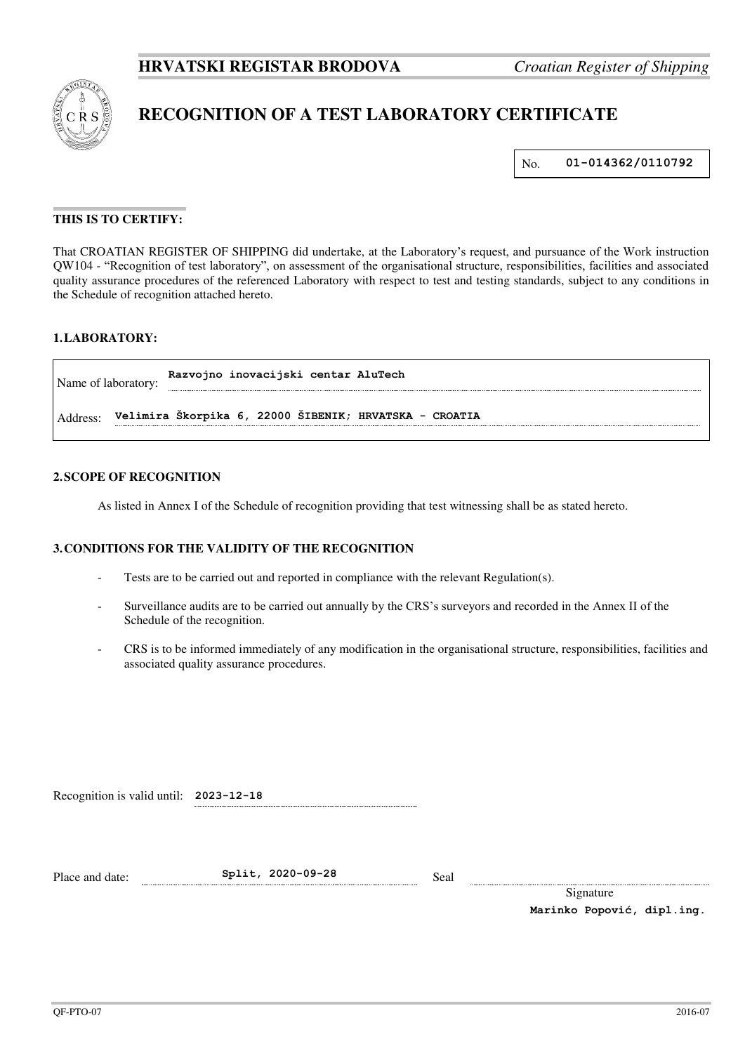

# **RECOGNITION OF A TEST LABORATORY CERTIFICATE**

No. **01-014362/0110792**

## **THIS IS TO CERTIFY:**

That CROATIAN REGISTER OF SHIPPING did undertake, at the Laboratory's request, and pursuance of the Work instruction QW104 - "Recognition of test laboratory", on assessment of the organisational structure, responsibilities, facilities and associated quality assurance procedures of the referenced Laboratory with respect to test and testing standards, subject to any conditions in the Schedule of recognition attached hereto.

# **1. LABORATORY:**

| Name of laboratory: | Razvojno inovacijski centar AluTech                    |
|---------------------|--------------------------------------------------------|
| Address:            | Velimira Škorpika 6, 22000 ŠIBENIK; HRVATSKA - CROATIA |

#### **2. SCOPE OF RECOGNITION**

As listed in Annex I of the Schedule of recognition providing that test witnessing shall be as stated hereto.

#### **3. CONDITIONS FOR THE VALIDITY OF THE RECOGNITION**

- Tests are to be carried out and reported in compliance with the relevant Regulation(s).
- Surveillance audits are to be carried out annually by the CRS's surveyors and recorded in the Annex II of the Schedule of the recognition.
- CRS is to be informed immediately of any modification in the organisational structure, responsibilities, facilities and associated quality assurance procedures.

Recognition is valid until: **2023-12-18**

Place and date: **Split, 2020-09-28** Seal

Signature **Marinko Popović, dipl.ing.**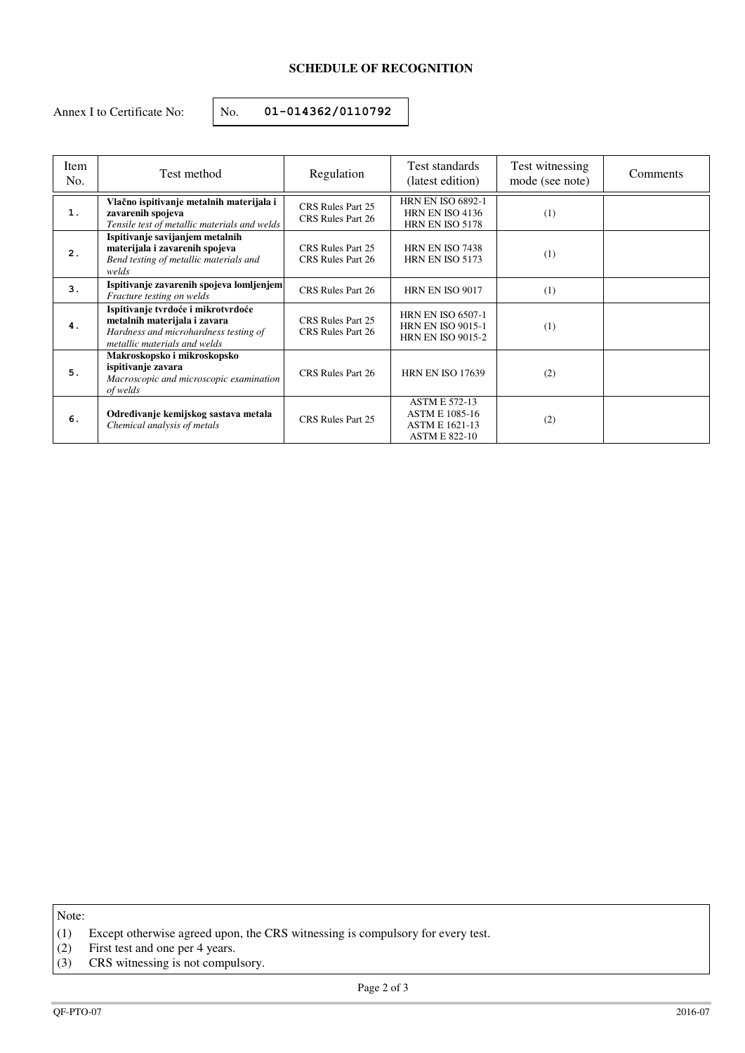# **SCHEDULE OF RECOGNITION**

Annex I to Certificate No:  $\vert$  No. **01-014362/0110792** 

| Item<br>No. | Test method                                                                                                                                 | Regulation                             | Test standards<br>(latest edition)                                                             | Test witnessing<br>mode (see note) | Comments |
|-------------|---------------------------------------------------------------------------------------------------------------------------------------------|----------------------------------------|------------------------------------------------------------------------------------------------|------------------------------------|----------|
| 1.          | Vlačno ispitivanje metalnih materijala i<br>zavarenih spojeva<br>Tensile test of metallic materials and welds                               | CRS Rules Part 25<br>CRS Rules Part 26 | <b>HRN EN ISO 6892-1</b><br>HRN EN ISO 4136<br>HRN EN ISO 5178                                 | (1)                                |          |
| 2.          | Ispitivanje savijanjem metalnih<br>materijala i zavarenih spojeva<br>Bend testing of metallic materials and<br>welds                        | CRS Rules Part 25<br>CRS Rules Part 26 | HRN EN ISO 7438<br>HRN EN ISO 5173                                                             | (1)                                |          |
| 3.          | Ispitivanje zavarenih spojeva lomljenjem<br>Fracture testing on welds                                                                       | CRS Rules Part 26                      | HRN EN ISO 9017                                                                                | (1)                                |          |
| 4.          | Ispitivanje tvrdoće i mikrotvrdoće<br>metalnih materijala i zavara<br>Hardness and microhardness testing of<br>metallic materials and welds | CRS Rules Part 25<br>CRS Rules Part 26 | <b>HRN EN ISO 6507-1</b><br><b>HRN EN ISO 9015-1</b><br><b>HRN EN ISO 9015-2</b>               | (1)                                |          |
| 5.          | Makroskopsko i mikroskopsko<br>ispitivanje zavara<br>Macroscopic and microscopic examination<br>of welds                                    | CRS Rules Part 26                      | <b>HRN EN ISO 17639</b>                                                                        | (2)                                |          |
| 6.          | Određivanje kemijskog sastava metala<br>Chemical analysis of metals                                                                         | CRS Rules Part 25                      | <b>ASTM E 572-13</b><br><b>ASTM E 1085-16</b><br><b>ASTM E 1621-13</b><br><b>ASTM E 822-10</b> | (2)                                |          |

Note:

(2) First test and one per 4 years.

<sup>(1)</sup> Except otherwise agreed upon, the CRS witnessing is compulsory for every test.

<sup>(3)</sup> CRS witnessing is not compulsory.